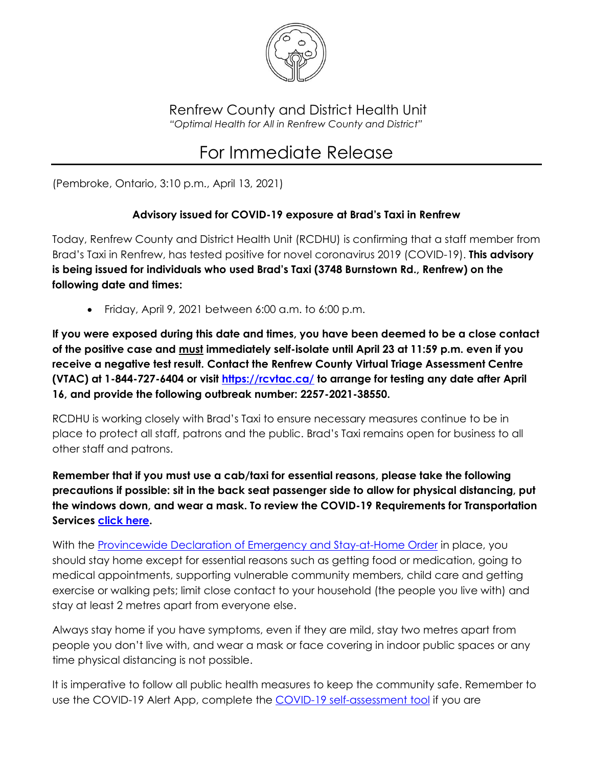

Renfrew County and District Health Unit *"Optimal Health for All in Renfrew County and District"*

## For Immediate Release

(Pembroke, Ontario, 3:10 p.m., April 13, 2021)

## **Advisory issued for COVID-19 exposure at Brad's Taxi in Renfrew**

Today, Renfrew County and District Health Unit (RCDHU) is confirming that a staff member from Brad's Taxi in Renfrew, has tested positive for novel coronavirus 2019 (COVID-19). **This advisory is being issued for individuals who used Brad's Taxi (3748 Burnstown Rd., Renfrew) on the following date and times:**

• Friday, April 9, 2021 between  $6:00$  a.m. to  $6:00$  p.m.

**If you were exposed during this date and times, you have been deemed to be a close contact of the positive case and must immediately self-isolate until April 23 at 11:59 p.m. even if you receive a negative test result. Contact the Renfrew County Virtual Triage Assessment Centre (VTAC) at 1-844-727-6404 or visit<https://rcvtac.ca/> to arrange for testing any date after April 16, and provide the following outbreak number: 2257-2021-38550.**

RCDHU is working closely with Brad's Taxi to ensure necessary measures continue to be in place to protect all staff, patrons and the public. Brad's Taxi remains open for business to all other staff and patrons.

**Remember that if you must use a cab/taxi for essential reasons, please take the following precautions if possible: sit in the back seat passenger side to allow for physical distancing, put the windows down, and wear a mask. To review the COVID-19 Requirements for Transportation Services [click here.](https://www.rcdhu.com/wp-content/uploads/2021/04/COVID-19-Requirements-for-Transportation-Services-Apr-13-2021-FINAL.pdf)**

With the [Provincewide Declaration of Emergency and Stay-at-Home Order](https://covid-19.ontario.ca/zones-and-restrictions) in place, you should stay home except for essential reasons such as getting food or medication, going to medical appointments, supporting vulnerable community members, child care and getting exercise or walking pets; limit close contact to your household (the people you live with) and stay at least 2 metres apart from everyone else.

Always stay home if you have symptoms, even if they are mild, stay two metres apart from people you don't live with, and wear a mask or face covering in indoor public spaces or any time physical distancing is not possible.

It is imperative to follow all public health measures to keep the community safe. Remember to use the COVID-19 Alert App, complete the COVID-19 self-assessment tool if you are